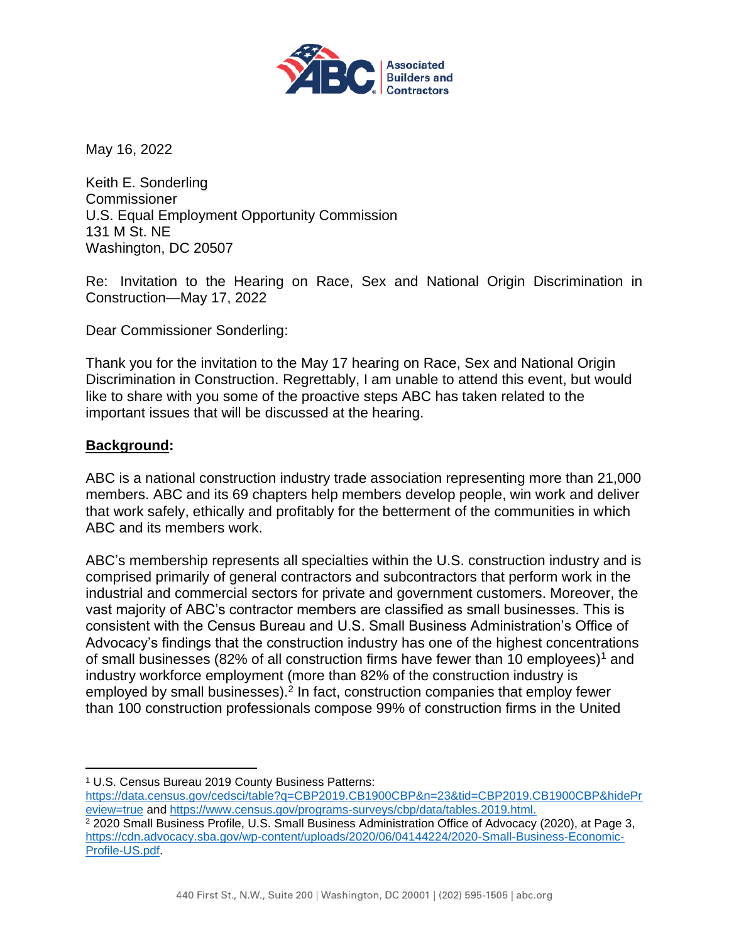

May 16, 2022

Keith E. Sonderling **Commissioner** U.S. Equal Employment Opportunity Commission 131 M St. NE Washington, DC 20507

Re: Invitation to the Hearing on Race, Sex and National Origin Discrimination in Construction—May 17, 2022

Dear Commissioner Sonderling:

Thank you for the invitation to the May 17 hearing on Race, Sex and National Origin Discrimination in Construction. Regrettably, I am unable to attend this event, but would like to share with you some of the proactive steps ABC has taken related to the important issues that will be discussed at the hearing.

#### **Background:**

ABC is a national construction industry trade association representing more than 21,000 members. ABC and its 69 chapters help members develop people, win work and deliver that work safely, ethically and profitably for the betterment of the communities in which ABC and its members work.

ABC's membership represents all specialties within the U.S. construction industry and is comprised primarily of general contractors and subcontractors that perform work in the industrial and commercial sectors for private and government customers. Moreover, the vast majority of ABC's contractor members are classified as small businesses. This is consistent with the Census Bureau and U.S. Small Business Administration's Office of Advocacy's findings that the construction industry has one of the highest concentrations of small businesses (82% of all construction firms have fewer than 10 employees)<sup>1</sup> and industry workforce employment (more than 82% of the construction industry is employed by small businesses).<sup>2</sup> In fact, construction companies that employ fewer than 100 construction professionals compose 99% of construction firms in the United

[https://data.census.gov/cedsci/table?q=CBP2019.CB1900CBP&n=23&tid=CBP2019.CB1900CBP&hidePr](https://data.census.gov/cedsci/table?q=CBP2019.CB1900CBP&n=23&tid=CBP2019.CB1900CBP&hidePreview=true) [eview=true](https://data.census.gov/cedsci/table?q=CBP2019.CB1900CBP&n=23&tid=CBP2019.CB1900CBP&hidePreview=true) and [https://www.census.gov/programs-surveys/cbp/data/tables.2019.html.](https://www.census.gov/programs-surveys/cbp/data/tables.2019.html)

<sup>1</sup> U.S. Census Bureau 2019 County Business Patterns:

<sup>2</sup> 2020 Small Business Profile, U.S. Small Business Administration Office of Advocacy (2020), at Page 3, [https://cdn.advocacy.sba.gov/wp-content/uploads/2020/06/04144224/2020-Small-Business-Economic-](https://cdn.advocacy.sba.gov/wp-content/uploads/2020/06/04144224/2020-Small-Business-Economic-Profile-US.pdf)[Profile-US.pdf.](https://cdn.advocacy.sba.gov/wp-content/uploads/2020/06/04144224/2020-Small-Business-Economic-Profile-US.pdf)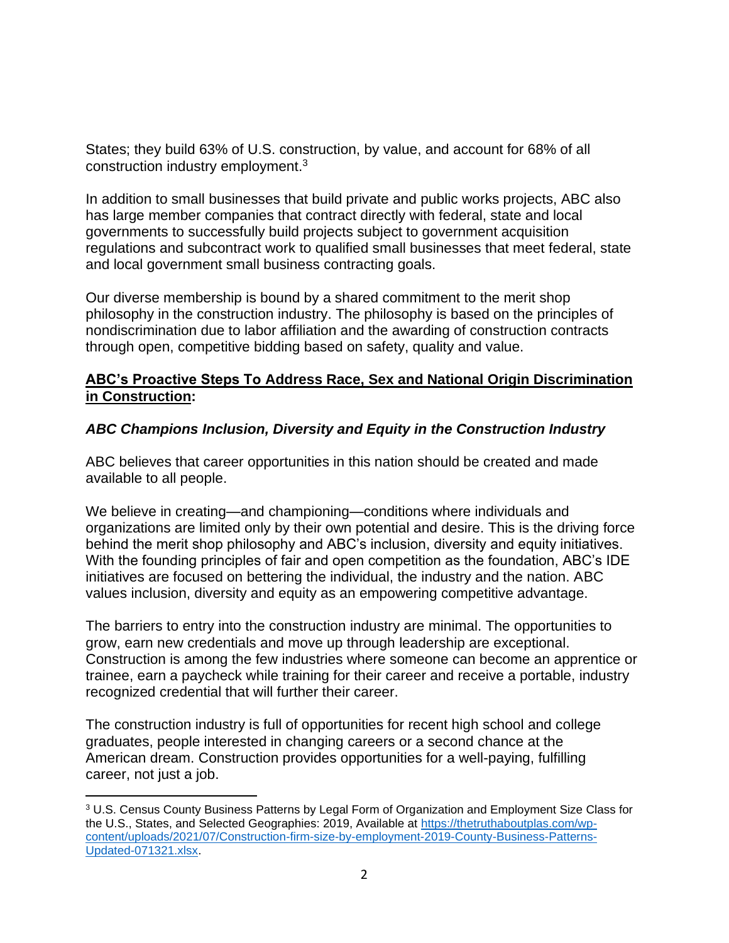States; they build 63% of U.S. construction, by value, and account for 68% of all construction industry employment.<sup>3</sup>

In addition to small businesses that build private and public works projects, ABC also has large member companies that contract directly with federal, state and local governments to successfully build projects subject to government acquisition regulations and subcontract work to qualified small businesses that meet federal, state and local government small business contracting goals.

Our diverse membership is bound by a shared commitment to the merit shop philosophy in the construction industry. The philosophy is based on the principles of nondiscrimination due to labor affiliation and the awarding of construction contracts through open, competitive bidding based on safety, quality and value.

#### **ABC's Proactive Steps To Address Race, Sex and National Origin Discrimination in Construction:**

# *ABC Champions Inclusion, Diversity and Equity in the Construction Industry*

ABC believes that career opportunities in this nation should be created and made available to all people.

We believe in creating—and championing—conditions where individuals and organizations are limited only by their own potential and desire. This is the driving force behind the merit shop philosophy and ABC's inclusion, diversity and equity initiatives. With the founding principles of fair and open competition as the foundation, ABC's IDE initiatives are focused on bettering the individual, the industry and the nation. ABC values inclusion, diversity and equity as an empowering competitive advantage.

The barriers to entry into the construction industry are minimal. The opportunities to grow, earn new credentials and move up through leadership are exceptional. Construction is among the few industries where someone can become an apprentice or trainee, earn a paycheck while training for their career and receive a portable, industry recognized credential that will further their career.

The construction industry is full of opportunities for recent high school and college graduates, people interested in changing careers or a second chance at the American dream. Construction provides opportunities for a well-paying, fulfilling career, not just a job.

<sup>3</sup> U.S. Census County Business Patterns by Legal Form of Organization and Employment Size Class for the U.S., States, and Selected Geographies: 2019, Available at [https://thetruthaboutplas.com/wp](https://thetruthaboutplas.com/wp-content/uploads/2021/07/Construction-firm-size-by-employment-2019-County-Business-Patterns-Updated-071321.xlsx)[content/uploads/2021/07/Construction-firm-size-by-employment-2019-County-Business-Patterns-](https://thetruthaboutplas.com/wp-content/uploads/2021/07/Construction-firm-size-by-employment-2019-County-Business-Patterns-Updated-071321.xlsx)[Updated-071321.xlsx.](https://thetruthaboutplas.com/wp-content/uploads/2021/07/Construction-firm-size-by-employment-2019-County-Business-Patterns-Updated-071321.xlsx)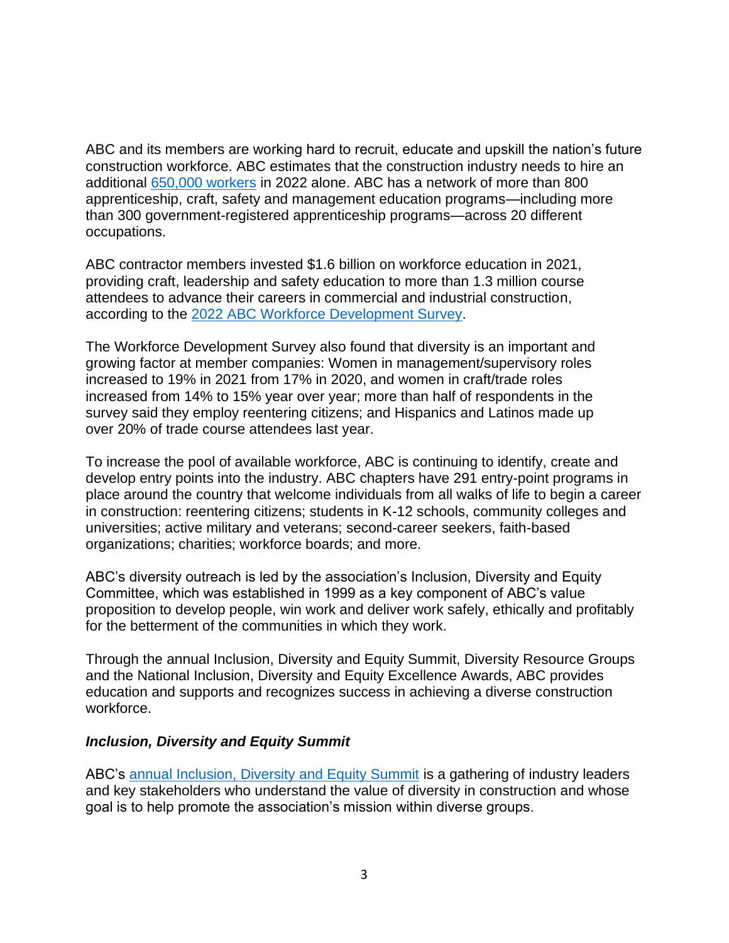ABC and its members are working hard to recruit, educate and upskill the nation's future construction workforce. ABC estimates that the construction industry needs to hire an additional [650,000 workers](https://abc.org/News-Media/News-Releases/entryid/19255/abc-construction-industry-faces-workforce-shortage-of-650-000-in-2022) in 2022 alone. ABC has a network of more than 800 apprenticeship, craft, safety and management education programs—including more than 300 government-registered apprenticeship programs—across 20 different occupations.

ABC contractor members invested \$1.6 billion on workforce education in 2021, providing craft, leadership and safety education to more than 1.3 million course attendees to advance their careers in commercial and industrial construction, according to the [2022 ABC Workforce Development Survey.](https://www.abc.org/Portals/1/NewsMedia/ABC%202022%20Workforce%20Development%20Survey%20-%20FINAL.pdf?ver=2022-04-29-155354-377)

The Workforce Development Survey also found that diversity is an important and growing factor at member companies: Women in management/supervisory roles increased to 19% in 2021 from 17% in 2020, and women in craft/trade roles increased from 14% to 15% year over year; more than half of respondents in the survey said they employ reentering citizens; and Hispanics and Latinos made up over 20% of trade course attendees last year.

To increase the pool of available workforce, ABC is continuing to identify, create and develop entry points into the industry. ABC chapters have 291 entry-point programs in place around the country that welcome individuals from all walks of life to begin a career in construction: reentering citizens; students in K-12 schools, community colleges and universities; active military and veterans; second-career seekers, faith-based organizations; charities; workforce boards; and more.

ABC's diversity outreach is led by the association's Inclusion, Diversity and Equity Committee, which was established in 1999 as a key component of ABC's value proposition to develop people, win work and deliver work safely, ethically and profitably for the betterment of the communities in which they work.

Through the annual Inclusion, Diversity and Equity Summit, Diversity Resource Groups and the National Inclusion, Diversity and Equity Excellence Awards, ABC provides education and supports and recognizes success in achieving a diverse construction workforce.

#### *Inclusion, Diversity and Equity Summit*

ABC's [annual Inclusion, Diversity and Equity Summit](https://legislative.abc.org/Program-Content/Inclusion-Diversity-and-Equity-Summit) is a gathering of industry leaders and key stakeholders who understand the value of diversity in construction and whose goal is to help promote the association's mission within diverse groups.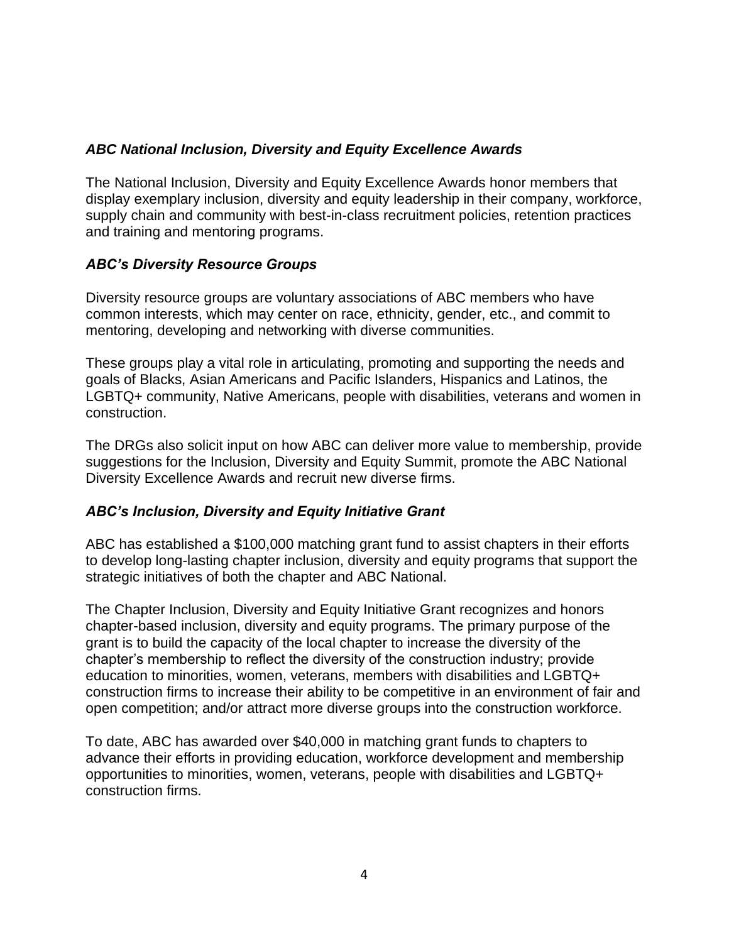# *ABC National Inclusion, Diversity and Equity Excellence Awards*

The National Inclusion, Diversity and Equity Excellence Awards honor members that display exemplary inclusion, diversity and equity leadership in their company, workforce, supply chain and community with best-in-class recruitment policies, retention practices and training and mentoring programs.

# *ABC's Diversity Resource Groups*

Diversity resource groups are voluntary associations of ABC members who have common interests, which may center on race, ethnicity, gender, etc., and commit to mentoring, developing and networking with diverse communities.

These groups play a vital role in articulating, promoting and supporting the needs and goals of Blacks, Asian Americans and Pacific Islanders, Hispanics and Latinos, the LGBTQ+ community, Native Americans, people with disabilities, veterans and women in construction.

The DRGs also solicit input on how ABC can deliver more value to membership, provide suggestions for the Inclusion, Diversity and Equity Summit, promote the ABC National Diversity Excellence Awards and recruit new diverse firms.

#### *ABC's Inclusion, Diversity and Equity Initiative Grant*

ABC has established a \$100,000 matching grant fund to assist chapters in their efforts to develop long-lasting chapter inclusion, diversity and equity programs that support the strategic initiatives of both the chapter and ABC National.

The Chapter Inclusion, Diversity and Equity Initiative Grant recognizes and honors chapter-based inclusion, diversity and equity programs. The primary purpose of the grant is to build the capacity of the local chapter to increase the diversity of the chapter's membership to reflect the diversity of the construction industry; provide education to minorities, women, veterans, members with disabilities and LGBTQ+ construction firms to increase their ability to be competitive in an environment of fair and open competition; and/or attract more diverse groups into the construction workforce.

To date, ABC has awarded over \$40,000 in matching grant funds to chapters to advance their efforts in providing education, workforce development and membership opportunities to minorities, women, veterans, people with disabilities and LGBTQ+ construction firms.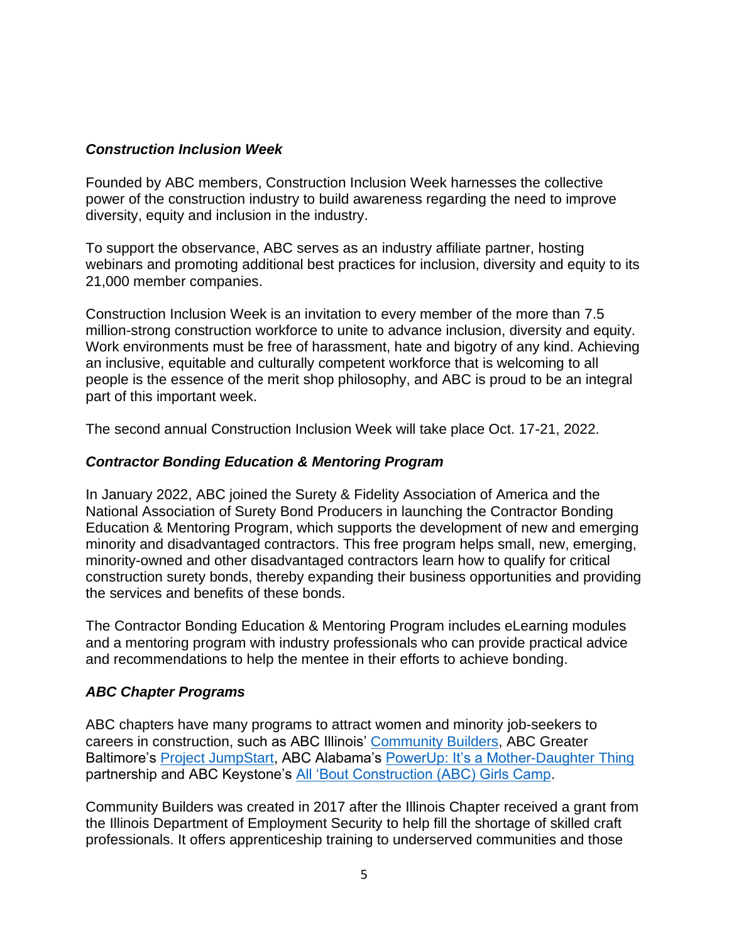### *Construction Inclusion Week*

Founded by ABC members, Construction Inclusion Week harnesses the collective power of the construction industry to build awareness regarding the need to improve diversity, equity and inclusion in the industry.

To support the observance, ABC serves as an industry affiliate partner, hosting webinars and promoting additional best practices for inclusion, diversity and equity to its 21,000 member companies.

Construction Inclusion Week is an invitation to every member of the more than 7.5 million-strong construction workforce to unite to advance inclusion, diversity and equity. Work environments must be free of harassment, hate and bigotry of any kind. Achieving an inclusive, equitable and culturally competent workforce that is welcoming to all people is the essence of the merit shop philosophy, and ABC is proud to be an integral part of this important week.

The second annual Construction Inclusion Week will take place Oct. 17-21, 2022.

#### *Contractor Bonding Education & Mentoring Program*

In January 2022, ABC joined the Surety & Fidelity Association of America and the National Association of Surety Bond Producers in launching the Contractor Bonding Education & Mentoring Program, which supports the development of new and emerging minority and disadvantaged contractors. This free program helps small, new, emerging, minority-owned and other disadvantaged contractors learn how to qualify for critical construction surety bonds, thereby expanding their business opportunities and providing the services and benefits of these bonds.

The Contractor Bonding Education & Mentoring Program includes eLearning modules and a mentoring program with industry professionals who can provide practical advice and recommendations to help the mentee in their efforts to achieve bonding.

#### *ABC Chapter Programs*

ABC chapters have many programs to attract women and minority job-seekers to careers in construction, such as ABC Illinois' [Community Builders,](https://www.mycommunitybuilders.org/home) ABC Greater Baltimore's [Project JumpStart,](http://projectjumpstarttraining.org/) ABC Alabama's [PowerUp: It's a Mother-Daughter Thing](https://www.poweruploud.org/) partnership and ABC Keystone's [All 'Bout Construction \(ABC\) Girls Camp.](https://www.abc.org/News-Media/Newsline/entryid/18826/abc-keystone-chapter-teaches-young-girls-about-industry-at-construction-summer-camp)

Community Builders was created in 2017 after the Illinois Chapter received a grant from the Illinois Department of Employment Security to help fill the shortage of skilled craft professionals. It offers apprenticeship training to underserved communities and those